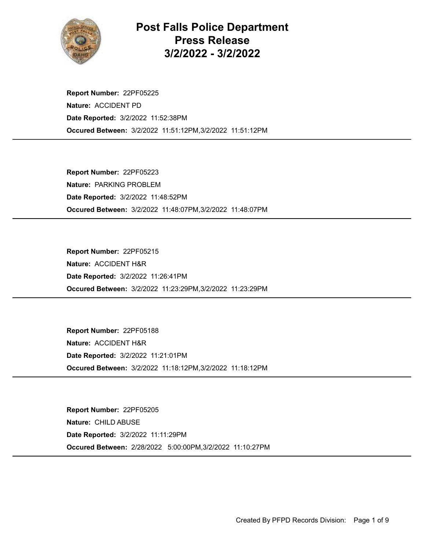

Post Falls Police Department Press Release 3/2/2022 - 3/2/2022

Occured Between: 3/2/2022 11:51:12PM,3/2/2022 11:51:12PM Report Number: 22PF05225 Nature: ACCIDENT PD Date Reported: 3/2/2022 11:52:38PM

Occured Between: 3/2/2022 11:48:07PM,3/2/2022 11:48:07PM Report Number: 22PF05223 Nature: PARKING PROBLEM Date Reported: 3/2/2022 11:48:52PM

Occured Between: 3/2/2022 11:23:29PM,3/2/2022 11:23:29PM Report Number: 22PF05215 Nature: ACCIDENT H&R Date Reported: 3/2/2022 11:26:41PM

Occured Between: 3/2/2022 11:18:12PM,3/2/2022 11:18:12PM Report Number: 22PF05188 Nature: ACCIDENT H&R Date Reported: 3/2/2022 11:21:01PM

Occured Between: 2/28/2022 5:00:00PM,3/2/2022 11:10:27PM Report Number: 22PF05205 Nature: CHILD ABUSE Date Reported: 3/2/2022 11:11:29PM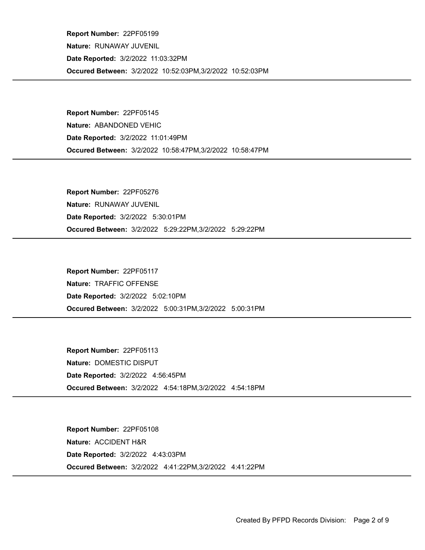Occured Between: 3/2/2022 10:52:03PM,3/2/2022 10:52:03PM Report Number: 22PF05199 Nature: RUNAWAY JUVENIL Date Reported: 3/2/2022 11:03:32PM

Occured Between: 3/2/2022 10:58:47PM,3/2/2022 10:58:47PM Report Number: 22PF05145 Nature: ABANDONED VEHIC Date Reported: 3/2/2022 11:01:49PM

Occured Between: 3/2/2022 5:29:22PM,3/2/2022 5:29:22PM Report Number: 22PF05276 Nature: RUNAWAY JUVENIL Date Reported: 3/2/2022 5:30:01PM

Occured Between: 3/2/2022 5:00:31PM,3/2/2022 5:00:31PM Report Number: 22PF05117 Nature: TRAFFIC OFFENSE Date Reported: 3/2/2022 5:02:10PM

Occured Between: 3/2/2022 4:54:18PM,3/2/2022 4:54:18PM Report Number: 22PF05113 Nature: DOMESTIC DISPUT Date Reported: 3/2/2022 4:56:45PM

Occured Between: 3/2/2022 4:41:22PM,3/2/2022 4:41:22PM Report Number: 22PF05108 Nature: ACCIDENT H&R Date Reported: 3/2/2022 4:43:03PM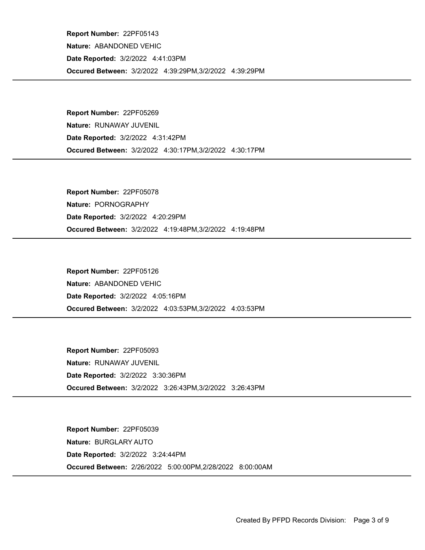Occured Between: 3/2/2022 4:39:29PM,3/2/2022 4:39:29PM Report Number: 22PF05143 Nature: ABANDONED VEHIC Date Reported: 3/2/2022 4:41:03PM

Occured Between: 3/2/2022 4:30:17PM,3/2/2022 4:30:17PM Report Number: 22PF05269 Nature: RUNAWAY JUVENIL Date Reported: 3/2/2022 4:31:42PM

Occured Between: 3/2/2022 4:19:48PM,3/2/2022 4:19:48PM Report Number: 22PF05078 Nature: PORNOGRAPHY Date Reported: 3/2/2022 4:20:29PM

Occured Between: 3/2/2022 4:03:53PM,3/2/2022 4:03:53PM Report Number: 22PF05126 Nature: ABANDONED VEHIC Date Reported: 3/2/2022 4:05:16PM

Occured Between: 3/2/2022 3:26:43PM,3/2/2022 3:26:43PM Report Number: 22PF05093 Nature: RUNAWAY JUVENIL Date Reported: 3/2/2022 3:30:36PM

Occured Between: 2/26/2022 5:00:00PM,2/28/2022 8:00:00AM Report Number: 22PF05039 Nature: BURGLARY AUTO Date Reported: 3/2/2022 3:24:44PM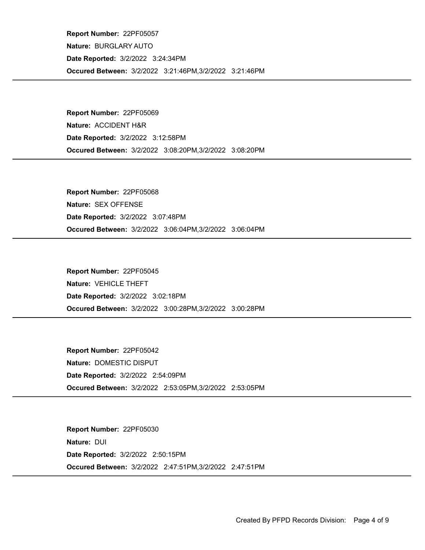Occured Between: 3/2/2022 3:21:46PM,3/2/2022 3:21:46PM Report Number: 22PF05057 Nature: BURGLARY AUTO Date Reported: 3/2/2022 3:24:34PM

Occured Between: 3/2/2022 3:08:20PM,3/2/2022 3:08:20PM Report Number: 22PF05069 Nature: ACCIDENT H&R Date Reported: 3/2/2022 3:12:58PM

Occured Between: 3/2/2022 3:06:04PM,3/2/2022 3:06:04PM Report Number: 22PF05068 Nature: SEX OFFENSE Date Reported: 3/2/2022 3:07:48PM

Occured Between: 3/2/2022 3:00:28PM,3/2/2022 3:00:28PM Report Number: 22PF05045 Nature: VEHICLE THEFT Date Reported: 3/2/2022 3:02:18PM

Occured Between: 3/2/2022 2:53:05PM,3/2/2022 2:53:05PM Report Number: 22PF05042 Nature: DOMESTIC DISPUT Date Reported: 3/2/2022 2:54:09PM

Occured Between: 3/2/2022 2:47:51PM,3/2/2022 2:47:51PM Report Number: 22PF05030 Nature: DUI Date Reported: 3/2/2022 2:50:15PM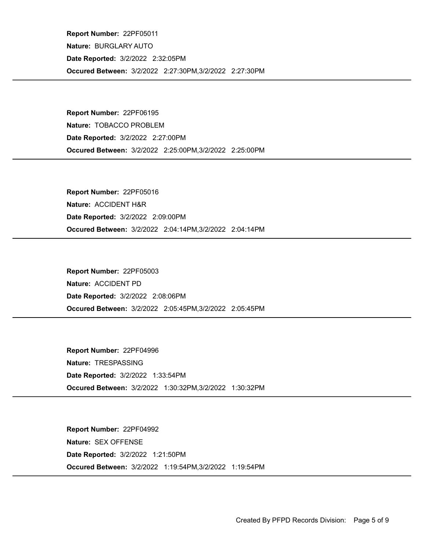Occured Between: 3/2/2022 2:27:30PM,3/2/2022 2:27:30PM Report Number: 22PF05011 Nature: BURGLARY AUTO Date Reported: 3/2/2022 2:32:05PM

Occured Between: 3/2/2022 2:25:00PM,3/2/2022 2:25:00PM Report Number: 22PF06195 Nature: TOBACCO PROBLEM Date Reported: 3/2/2022 2:27:00PM

Occured Between: 3/2/2022 2:04:14PM,3/2/2022 2:04:14PM Report Number: 22PF05016 Nature: ACCIDENT H&R Date Reported: 3/2/2022 2:09:00PM

Occured Between: 3/2/2022 2:05:45PM,3/2/2022 2:05:45PM Report Number: 22PF05003 Nature: ACCIDENT PD Date Reported: 3/2/2022 2:08:06PM

Occured Between: 3/2/2022 1:30:32PM,3/2/2022 1:30:32PM Report Number: 22PF04996 Nature: TRESPASSING Date Reported: 3/2/2022 1:33:54PM

Occured Between: 3/2/2022 1:19:54PM,3/2/2022 1:19:54PM Report Number: 22PF04992 Nature: SEX OFFENSE Date Reported: 3/2/2022 1:21:50PM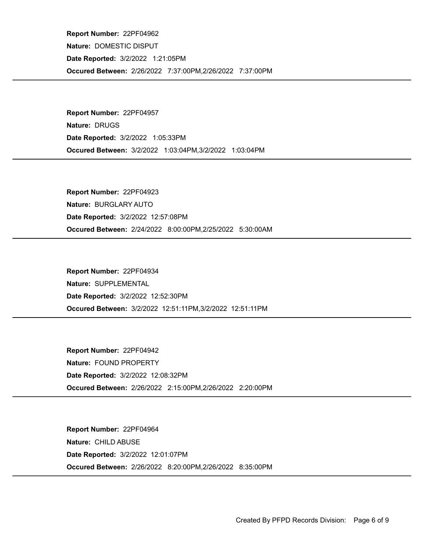Occured Between: 2/26/2022 7:37:00PM,2/26/2022 7:37:00PM Report Number: 22PF04962 Nature: DOMESTIC DISPUT Date Reported: 3/2/2022 1:21:05PM

Occured Between: 3/2/2022 1:03:04PM,3/2/2022 1:03:04PM Report Number: 22PF04957 Nature: DRUGS Date Reported: 3/2/2022 1:05:33PM

Occured Between: 2/24/2022 8:00:00PM,2/25/2022 5:30:00AM Report Number: 22PF04923 Nature: BURGLARY AUTO Date Reported: 3/2/2022 12:57:08PM

Occured Between: 3/2/2022 12:51:11PM,3/2/2022 12:51:11PM Report Number: 22PF04934 Nature: SUPPLEMENTAL Date Reported: 3/2/2022 12:52:30PM

Occured Between: 2/26/2022 2:15:00PM,2/26/2022 2:20:00PM Report Number: 22PF04942 Nature: FOUND PROPERTY Date Reported: 3/2/2022 12:08:32PM

Occured Between: 2/26/2022 8:20:00PM,2/26/2022 8:35:00PM Report Number: 22PF04964 Nature: CHILD ABUSE Date Reported: 3/2/2022 12:01:07PM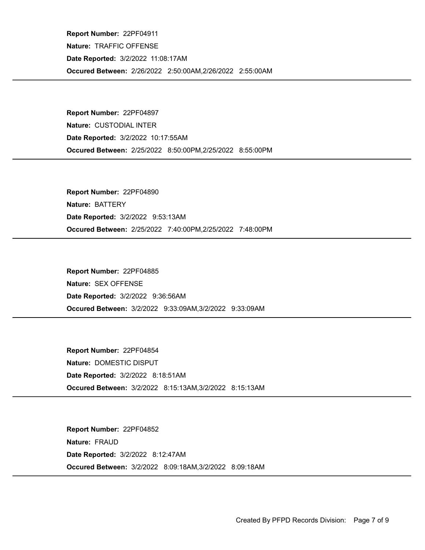Occured Between: 2/26/2022 2:50:00AM,2/26/2022 2:55:00AM Report Number: 22PF04911 Nature: TRAFFIC OFFENSE Date Reported: 3/2/2022 11:08:17AM

Occured Between: 2/25/2022 8:50:00PM,2/25/2022 8:55:00PM Report Number: 22PF04897 Nature: CUSTODIAL INTER Date Reported: 3/2/2022 10:17:55AM

Occured Between: 2/25/2022 7:40:00PM,2/25/2022 7:48:00PM Report Number: 22PF04890 Nature: BATTERY Date Reported: 3/2/2022 9:53:13AM

Occured Between: 3/2/2022 9:33:09AM,3/2/2022 9:33:09AM Report Number: 22PF04885 Nature: SEX OFFENSE Date Reported: 3/2/2022 9:36:56AM

Occured Between: 3/2/2022 8:15:13AM,3/2/2022 8:15:13AM Report Number: 22PF04854 Nature: DOMESTIC DISPUT Date Reported: 3/2/2022 8:18:51AM

Occured Between: 3/2/2022 8:09:18AM,3/2/2022 8:09:18AM Report Number: 22PF04852 Nature: FRAUD Date Reported: 3/2/2022 8:12:47AM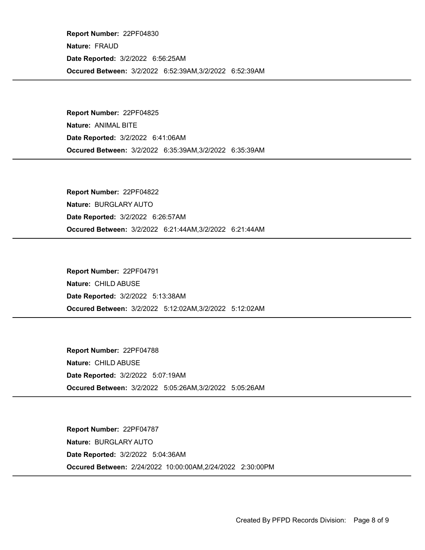Occured Between: 3/2/2022 6:52:39AM,3/2/2022 6:52:39AM Report Number: 22PF04830 Nature: FRAUD Date Reported: 3/2/2022 6:56:25AM

Occured Between: 3/2/2022 6:35:39AM,3/2/2022 6:35:39AM Report Number: 22PF04825 Nature: ANIMAL BITE Date Reported: 3/2/2022 6:41:06AM

Occured Between: 3/2/2022 6:21:44AM,3/2/2022 6:21:44AM Report Number: 22PF04822 Nature: BURGLARY AUTO Date Reported: 3/2/2022 6:26:57AM

Occured Between: 3/2/2022 5:12:02AM,3/2/2022 5:12:02AM Report Number: 22PF04791 Nature: CHILD ABUSE Date Reported: 3/2/2022 5:13:38AM

Occured Between: 3/2/2022 5:05:26AM,3/2/2022 5:05:26AM Report Number: 22PF04788 Nature: CHILD ABUSE Date Reported: 3/2/2022 5:07:19AM

Occured Between: 2/24/2022 10:00:00AM,2/24/2022 2:30:00PM Report Number: 22PF04787 Nature: BURGLARY AUTO Date Reported: 3/2/2022 5:04:36AM